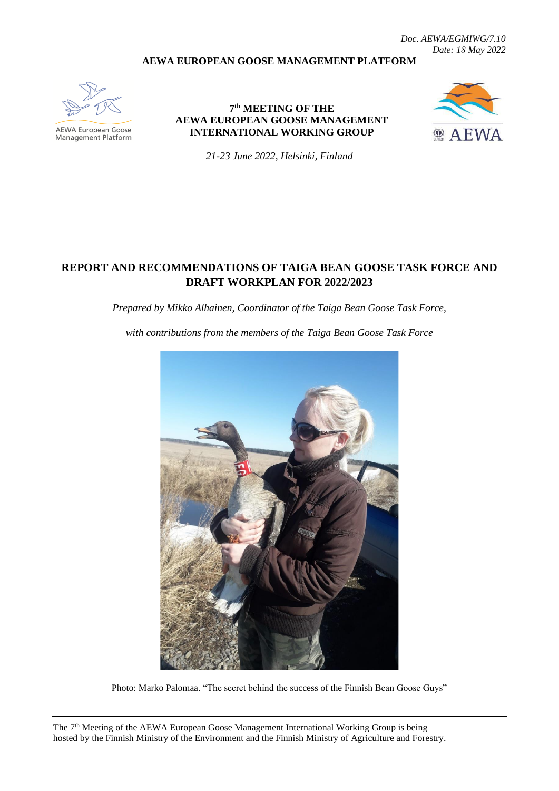*Doc. AEWA/EGMIWG/7.10 Date: 18 May 2022* 

#### **AEWA EUROPEAN GOOSE MANAGEMENT PLATFORM**



**AEWA European Goose** Management Platform

#### **7 th MEETING OF THE AEWA EUROPEAN GOOSE MANAGEMENT INTERNATIONAL WORKING GROUP**



*21-23 June 2022, Helsinki, Finland*

## **REPORT AND RECOMMENDATIONS OF TAIGA BEAN GOOSE TASK FORCE AND DRAFT WORKPLAN FOR 2022/2023**

*Prepared by Mikko Alhainen, Coordinator of the Taiga Bean Goose Task Force,* 

*with contributions from the members of the Taiga Bean Goose Task Force*



Photo: Marko Palomaa. "The secret behind the success of the Finnish Bean Goose Guys"

The 7<sup>th</sup> Meeting of the AEWA European Goose Management International Working Group is being hosted by the Finnish Ministry of the Environment and the Finnish Ministry of Agriculture and Forestry.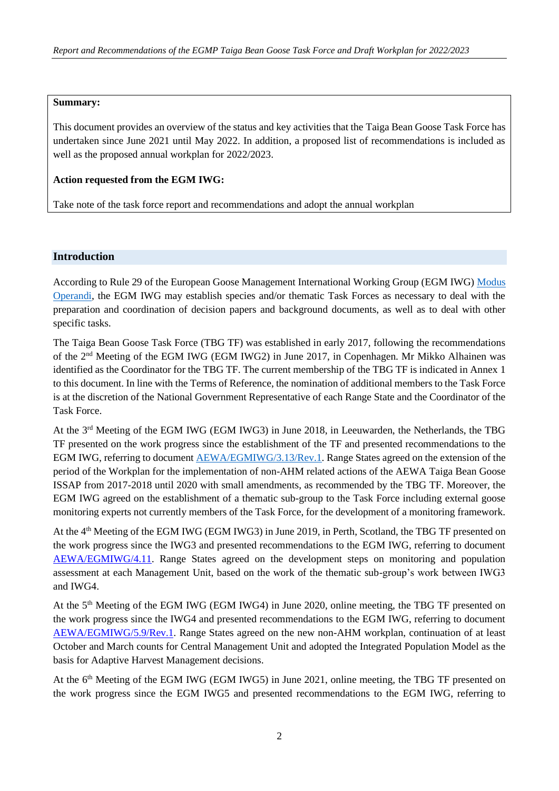#### **Summary:**

This document provides an overview of the status and key activities that the Taiga Bean Goose Task Force has undertaken since June 2021 until May 2022. In addition, a proposed list of recommendations is included as well as the proposed annual workplan for 2022/2023.

#### **Action requested from the EGM IWG:**

Take note of the task force report and recommendations and adopt the annual workplan

#### **Introduction**

According to Rule 29 of the European Goose Management International Working Group (EGM IWG) [Modus](http://www.unep-aewa.org/sites/default/files/document/aewa_egmiwg2_inf_4_egmiwg_modus_operandi.pdf)  [Operandi,](http://www.unep-aewa.org/sites/default/files/document/aewa_egmiwg2_inf_4_egmiwg_modus_operandi.pdf) the EGM IWG may establish species and/or thematic Task Forces as necessary to deal with the preparation and coordination of decision papers and background documents, as well as to deal with other specific tasks.

The Taiga Bean Goose Task Force (TBG TF) was established in early 2017, following the recommendations of the 2nd Meeting of the EGM IWG (EGM IWG2) in June 2017, in Copenhagen. Mr Mikko Alhainen was identified as the Coordinator for the TBG TF. The current membership of the TBG TF is indicated in Annex 1 to this document. In line with the Terms of Reference, the nomination of additional members to the Task Force is at the discretion of the National Government Representative of each Range State and the Coordinator of the Task Force.

At the 3rd Meeting of the EGM IWG (EGM IWG3) in June 2018, in Leeuwarden, the Netherlands, the TBG TF presented on the work progress since the establishment of the TF and presented recommendations to the EGM IWG, referring to document [AEWA/EGMIWG/3.13/Rev.1.](https://egmp.aewa.info/sites/default/files/meeting_files/documents/AEWA_EGM_IWG_3_13_TBG_TF_report_Rev.1.pdf) Range States agreed on the extension of the period of the Workplan for the implementation of non-AHM related actions of the AEWA Taiga Bean Goose ISSAP from 2017-2018 until 2020 with small amendments, as recommended by the TBG TF. Moreover, the EGM IWG agreed on the establishment of a thematic sub-group to the Task Force including external goose monitoring experts not currently members of the Task Force, for the development of a monitoring framework.

At the 4th Meeting of the EGM IWG (EGM IWG3) in June 2019, in Perth, Scotland, the TBG TF presented on the work progress since the IWG3 and presented recommendations to the EGM IWG, referring to document [AEWA/EGMIWG/4.11.](https://egmp.aewa.info/sites/default/files/meeting_files/documents/AEWA_EGM_IWG_4_11_TBG_TF.pdf) Range States agreed on the development steps on monitoring and population assessment at each Management Unit, based on the work of the thematic sub-group's work between IWG3 and IWG4.

At the 5<sup>th</sup> Meeting of the EGM IWG (EGM IWG4) in June 2020, online meeting, the TBG TF presented on the work progress since the IWG4 and presented recommendations to the EGM IWG, referring to document [AEWA/EGMIWG/5.9/Rev.1.](https://egmp.aewa.info/sites/default/files/meeting_files/documents/AEWA_EGM_IWG_5_9_TGB_TF_report_Rev.1.pdf) Range States agreed on the new non-AHM workplan, continuation of at least October and March counts for Central Management Unit and adopted the Integrated Population Model as the basis for Adaptive Harvest Management decisions.

At the 6<sup>th</sup> Meeting of the EGM IWG (EGM IWG5) in June 2021, online meeting, the TBG TF presented on the work progress since the EGM IWG5 and presented recommendations to the EGM IWG, referring to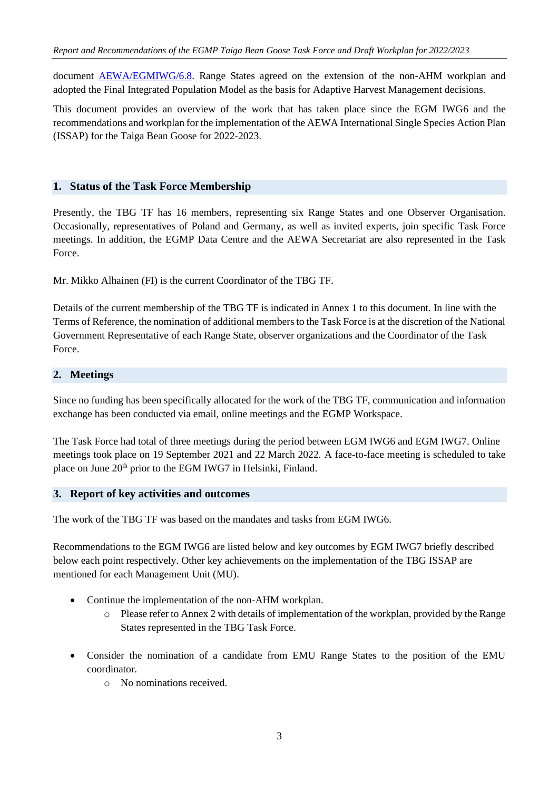document [AEWA/EGMIWG/6.8.](https://egmp.aewa.info/sites/default/files/meeting_files/documents/aewa_egm_iwg_6_8_TBG_TF_report_and_recommendations.pdf) Range States agreed on the extension of the non-AHM workplan and adopted the Final Integrated Population Model as the basis for Adaptive Harvest Management decisions.

This document provides an overview of the work that has taken place since the EGM IWG6 and the recommendations and workplan for the implementation of the AEWA International Single Species Action Plan (ISSAP) for the Taiga Bean Goose for 2022-2023.

#### **1. Status of the Task Force Membership**

Presently, the TBG TF has 16 members, representing six Range States and one Observer Organisation. Occasionally, representatives of Poland and Germany, as well as invited experts, join specific Task Force meetings. In addition, the EGMP Data Centre and the AEWA Secretariat are also represented in the Task Force.

Mr. Mikko Alhainen (FI) is the current Coordinator of the TBG TF.

Details of the current membership of the TBG TF is indicated in Annex 1 to this document. In line with the Terms of Reference, the nomination of additional members to the Task Force is at the discretion of the National Government Representative of each Range State, observer organizations and the Coordinator of the Task Force.

#### **2. Meetings**

Since no funding has been specifically allocated for the work of the TBG TF, communication and information exchange has been conducted via email, online meetings and the EGMP Workspace.

The Task Force had total of three meetings during the period between EGM IWG6 and EGM IWG7. Online meetings took place on 19 September 2021 and 22 March 2022. A face-to-face meeting is scheduled to take place on June 20th prior to the EGM IWG7 in Helsinki, Finland.

#### **3. Report of key activities and outcomes**

The work of the TBG TF was based on the mandates and tasks from EGM IWG6.

Recommendations to the EGM IWG6 are listed below and key outcomes by EGM IWG7 briefly described below each point respectively. Other key achievements on the implementation of the TBG ISSAP are mentioned for each Management Unit (MU).

- Continue the implementation of the non-AHM workplan.
	- $\circ$  Please refer to Annex 2 with details of implementation of the workplan, provided by the Range States represented in the TBG Task Force.
- Consider the nomination of a candidate from EMU Range States to the position of the EMU coordinator.
	- o No nominations received.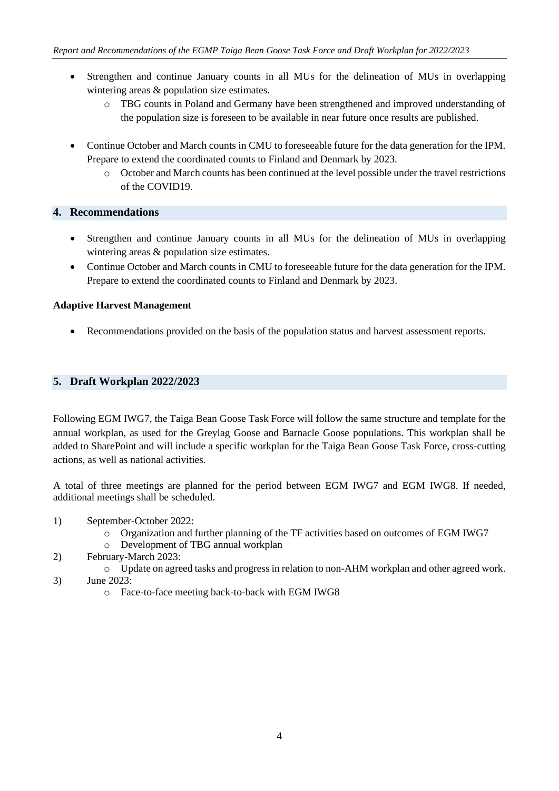- Strengthen and continue January counts in all MUs for the delineation of MUs in overlapping wintering areas & population size estimates.
	- o TBG counts in Poland and Germany have been strengthened and improved understanding of the population size is foreseen to be available in near future once results are published.
- Continue October and March counts in CMU to foreseeable future for the data generation for the IPM. Prepare to extend the coordinated counts to Finland and Denmark by 2023.
	- o October and March counts has been continued at the level possible under the travel restrictions of the COVID19.

#### **4. Recommendations**

- Strengthen and continue January counts in all MUs for the delineation of MUs in overlapping wintering areas & population size estimates.
- Continue October and March counts in CMU to foreseeable future for the data generation for the IPM. Prepare to extend the coordinated counts to Finland and Denmark by 2023.

#### **Adaptive Harvest Management**

• Recommendations provided on the basis of the population status and harvest assessment reports.

#### **5. Draft Workplan 2022/2023**

Following EGM IWG7, the Taiga Bean Goose Task Force will follow the same structure and template for the annual workplan, as used for the Greylag Goose and Barnacle Goose populations. This workplan shall be added to SharePoint and will include a specific workplan for the Taiga Bean Goose Task Force, cross-cutting actions, as well as national activities.

A total of three meetings are planned for the period between EGM IWG7 and EGM IWG8. If needed, additional meetings shall be scheduled.

- 1) September-October 2022:
	- o Organization and further planning of the TF activities based on outcomes of EGM IWG7
	- o Development of TBG annual workplan
- 2) February-March 2023:
	- o Update on agreed tasks and progress in relation to non-AHM workplan and other agreed work.
- 3) June 2023:
	- o Face-to-face meeting back-to-back with EGM IWG8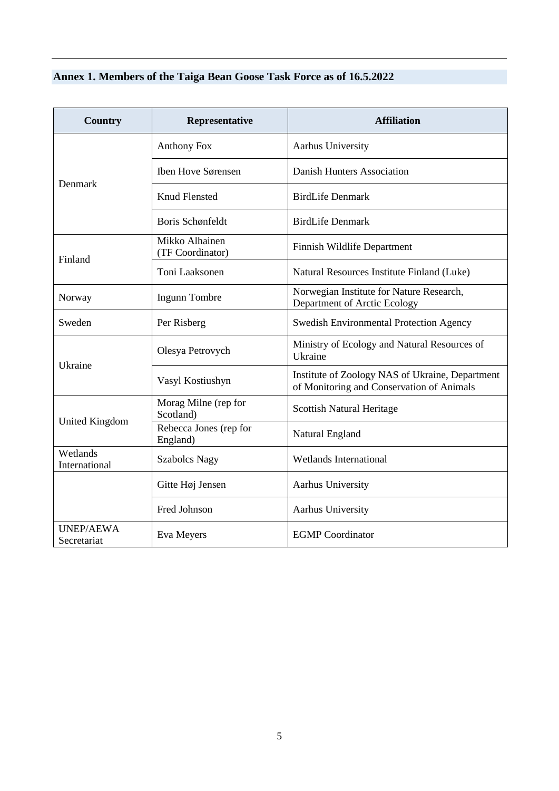# **Annex 1. Members of the Taiga Bean Goose Task Force as of 16.5.2022**

| <b>Country</b>                  | Representative                     | <b>Affiliation</b>                                                                           |  |  |  |
|---------------------------------|------------------------------------|----------------------------------------------------------------------------------------------|--|--|--|
|                                 | <b>Anthony Fox</b>                 | Aarhus University                                                                            |  |  |  |
| Denmark                         | Iben Hove Sørensen                 | Danish Hunters Association                                                                   |  |  |  |
|                                 | <b>Knud Flensted</b>               | <b>BirdLife Denmark</b>                                                                      |  |  |  |
|                                 | Boris Schønfeldt                   | <b>BirdLife Denmark</b>                                                                      |  |  |  |
| Finland                         | Mikko Alhainen<br>(TF Coordinator) | Finnish Wildlife Department                                                                  |  |  |  |
|                                 | Toni Laaksonen                     | Natural Resources Institute Finland (Luke)                                                   |  |  |  |
| Norway                          | <b>Ingunn Tombre</b>               | Norwegian Institute for Nature Research,<br>Department of Arctic Ecology                     |  |  |  |
| Sweden                          | Per Risberg                        | <b>Swedish Environmental Protection Agency</b>                                               |  |  |  |
|                                 | Olesya Petrovych                   | Ministry of Ecology and Natural Resources of<br>Ukraine                                      |  |  |  |
| Ukraine                         | Vasyl Kostiushyn                   | Institute of Zoology NAS of Ukraine, Department<br>of Monitoring and Conservation of Animals |  |  |  |
|                                 | Morag Milne (rep for<br>Scotland)  | <b>Scottish Natural Heritage</b>                                                             |  |  |  |
| <b>United Kingdom</b>           | Rebecca Jones (rep for<br>England) | Natural England                                                                              |  |  |  |
| Wetlands<br>International       | <b>Szabolcs Nagy</b>               | <b>Wetlands International</b>                                                                |  |  |  |
|                                 | Gitte Høj Jensen                   | Aarhus University                                                                            |  |  |  |
|                                 | Fred Johnson                       | Aarhus University                                                                            |  |  |  |
| <b>UNEP/AEWA</b><br>Secretariat | Eva Meyers                         | <b>EGMP</b> Coordinator                                                                      |  |  |  |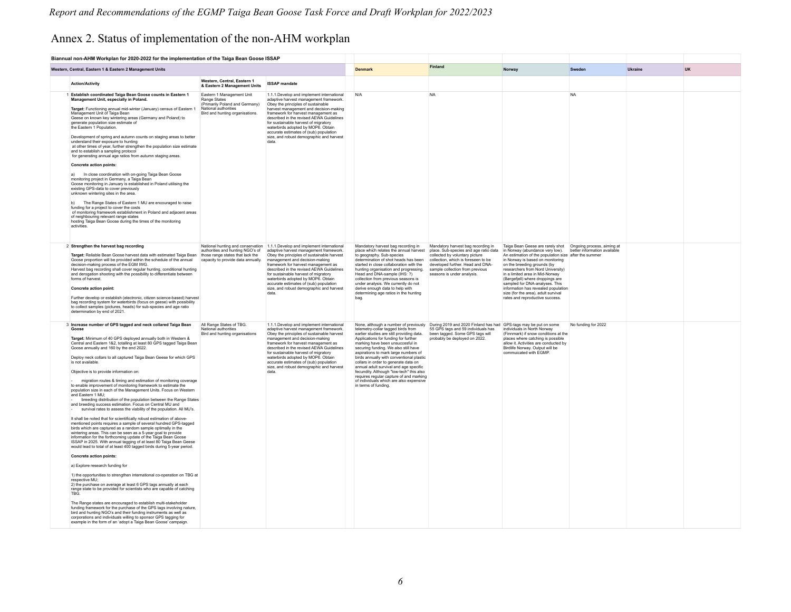# Annex 2. Status of implementation of the non-AHM workplan

|                                                          | Biannual non-AHM Workplan for 2020-2022 for the implementation of the Taiga Bean Goose ISSAP                                                                                                                                                                                                                                                                                                                                                                                                                                                                                                                                                                                                                                                                                                                                                                                                                                                                                                                                                                                                                                                                                                                                                                                                                                                                                                                                                                                                                                                                                                                                                                                                                                                                                                                                                                                                                                                                                                              |                                                                                                                                        |                                                                                                                                                                                                                                                                                                                                                                                                                                                                      |                                                                                                                                                                                                                                                                                                                                                                                                                                                                                                                                   |                                                                                                                                                                                                                                                           |                                                                                                                                                                                                                                                                                                                                                                                                                                                                                                                       |                     |           |  |
|----------------------------------------------------------|-----------------------------------------------------------------------------------------------------------------------------------------------------------------------------------------------------------------------------------------------------------------------------------------------------------------------------------------------------------------------------------------------------------------------------------------------------------------------------------------------------------------------------------------------------------------------------------------------------------------------------------------------------------------------------------------------------------------------------------------------------------------------------------------------------------------------------------------------------------------------------------------------------------------------------------------------------------------------------------------------------------------------------------------------------------------------------------------------------------------------------------------------------------------------------------------------------------------------------------------------------------------------------------------------------------------------------------------------------------------------------------------------------------------------------------------------------------------------------------------------------------------------------------------------------------------------------------------------------------------------------------------------------------------------------------------------------------------------------------------------------------------------------------------------------------------------------------------------------------------------------------------------------------------------------------------------------------------------------------------------------------|----------------------------------------------------------------------------------------------------------------------------------------|----------------------------------------------------------------------------------------------------------------------------------------------------------------------------------------------------------------------------------------------------------------------------------------------------------------------------------------------------------------------------------------------------------------------------------------------------------------------|-----------------------------------------------------------------------------------------------------------------------------------------------------------------------------------------------------------------------------------------------------------------------------------------------------------------------------------------------------------------------------------------------------------------------------------------------------------------------------------------------------------------------------------|-----------------------------------------------------------------------------------------------------------------------------------------------------------------------------------------------------------------------------------------------------------|-----------------------------------------------------------------------------------------------------------------------------------------------------------------------------------------------------------------------------------------------------------------------------------------------------------------------------------------------------------------------------------------------------------------------------------------------------------------------------------------------------------------------|---------------------|-----------|--|
| Western, Central, Eastern 1 & Eastern 2 Management Units |                                                                                                                                                                                                                                                                                                                                                                                                                                                                                                                                                                                                                                                                                                                                                                                                                                                                                                                                                                                                                                                                                                                                                                                                                                                                                                                                                                                                                                                                                                                                                                                                                                                                                                                                                                                                                                                                                                                                                                                                           |                                                                                                                                        | <b>Denmark</b>                                                                                                                                                                                                                                                                                                                                                                                                                                                       | Finland                                                                                                                                                                                                                                                                                                                                                                                                                                                                                                                           | Norway                                                                                                                                                                                                                                                    | Sweden                                                                                                                                                                                                                                                                                                                                                                                                                                                                                                                | Ukraine             | <b>UK</b> |  |
|                                                          | <b>Action/Activity</b>                                                                                                                                                                                                                                                                                                                                                                                                                                                                                                                                                                                                                                                                                                                                                                                                                                                                                                                                                                                                                                                                                                                                                                                                                                                                                                                                                                                                                                                                                                                                                                                                                                                                                                                                                                                                                                                                                                                                                                                    | Western, Central, Eastern 1<br>& Eastern 2 Management Units                                                                            | <b>ISSAP</b> mandate                                                                                                                                                                                                                                                                                                                                                                                                                                                 |                                                                                                                                                                                                                                                                                                                                                                                                                                                                                                                                   |                                                                                                                                                                                                                                                           |                                                                                                                                                                                                                                                                                                                                                                                                                                                                                                                       |                     |           |  |
|                                                          | 1 Establish coordinated Taiga Bean Goose counts in Eastern 1<br>Management Unit, especially in Poland.<br>Target: Functioning annual mid-winter (January) census of Eastern 1<br>Management Unit of Taiga Bean<br>Geese on known key wintering areas (Germany and Poland) to<br>generate population size estimate of<br>the Eastern 1 Population.<br>Development of spring and autumn counts on staging areas to better<br>understand their exposure to hunting<br>at other times of year, further strengthen the population size estimate<br>and to establish a sampling protocol<br>for generating annual age ratios from autumn staging areas.<br>Concrete action points:<br>In close coordination with on-going Taiga Bean Goose<br>a)<br>monitoring project in Germany, a Taiga Bean<br>Goose monitoring in January is established in Poland utilising the<br>existing GPS-data to cover previously<br>unknown wintering sites in the area.<br>b) The Range States of Eastern 1 MU are encouraged to raise<br>funding for a project to cover the costs<br>of monitoring framework establishment in Poland and adjacent areas<br>of neighbouring relevant range states<br>hosting Taiga Bean Goose during the times of the monitoring<br>activities                                                                                                                                                                                                                                                                                                                                                                                                                                                                                                                                                                                                                                                                                                                                                   | Eastern 1 Management Unit<br>Range States<br>(Primarily Poland and Germany)<br>National authorities<br>Bird and hunting organisations. | 1.1.1.Develop and implement international<br>adaptive harvest management framework<br>Obey the principles of sustainable<br>harvest management and decision-making<br>framework for harvest management as<br>described in the revised AEWA Guidelines<br>for sustainable harvest of migratory<br>waterbirds adopted by MOP6. Obtain<br>accurate estimates of (sub) population<br>size, and robust demographic and harvest<br>data                                    | N/A                                                                                                                                                                                                                                                                                                                                                                                                                                                                                                                               | <b>NA</b>                                                                                                                                                                                                                                                 |                                                                                                                                                                                                                                                                                                                                                                                                                                                                                                                       | <b>NA</b>           |           |  |
|                                                          | 2 Strengthen the harvest bag recording<br>Target: Reliable Bean Goose harvest data with estimated Taiga Bean<br>Goose proportion will be provided within the schedule of the annual<br>decision-making process of the EGM IWG.<br>Harvest bag recording shall cover regular hunting, conditional hunting<br>and derogation shooting with the possibility to differentiate between<br>forms of harvest<br>Concrete action point:<br>Further develop or establish (electronic, citizen science-based) harvest<br>bag recording system for waterbirds (focus on geese) with possibility<br>to collect samples (pictures, beads) for sub-species and age ratio<br>determination by end of 2021.                                                                                                                                                                                                                                                                                                                                                                                                                                                                                                                                                                                                                                                                                                                                                                                                                                                                                                                                                                                                                                                                                                                                                                                                                                                                                                               | authorities and hunting NGO's of<br>those range states that lack the<br>capacity to provide data annually.                             | National hunting and conservation 1.1.1.Develop and implement international<br>adaptive harvest management framework.<br>Obey the principles of sustainable harvest<br>management and decision-making<br>framework for harvest management as<br>described in the revised AEWA Guidelines<br>for sustainable harvest of migratory<br>waterbirds adopted by MOP6. Obtain<br>accurate estimates of (sub) population<br>size, and robust demographic and harvest<br>data | Mandatory harvest bag recording in<br>place which relates the annual harvest<br>to geography. Sub-species<br>determination of shot heads has been<br>started in close collaboration with the<br>hunting organisation and progressing.<br>Head and DNA-sample (IHS: ?)<br>collection from previous seasons is<br>under analysis. We currently do not<br>derive enough data to help with<br>determining age ratios in the hunting<br>bag.                                                                                           | Mandatory harvest bag recording in<br>place. Sub-species and age ratio data<br>collected by voluntary picture<br>collection, which is foreseen to be<br>developed further. Head and DNA-<br>sample collection from previous<br>seasons is under analysis. | Taiga Bean Geese are rarely shot  Ongoing process, aiming at<br>in Norway (abundance very low). better information available<br>An estimation of the population size after the summer<br>in Norway is based on monitoring<br>on the breeding grounds (by<br>researchers from Nord University)<br>in a limited area in Mid-Norway<br>(Børgefjell) where droppings are<br>sampled for DNA-analyses. This<br>information has revealed population<br>size (for the area) adult survival<br>rates and reproductive success |                     |           |  |
|                                                          | 3 Increase number of GPS tagged and neck collared Taiga Bean<br>Goose<br>Target: Minimum of 40 GPS deployed annually both in Western &<br>Central and Eastern 1&2, totalling at least 80 GPS tagged Taiga Bean<br>Goose annually and 160 by the end 2022<br>Deploy neck collars to all captured Taiga Bean Geese for which GPS<br>is not available<br>Objective is to provide information on:<br>migration routes & timing and estimation of monitoring coverage<br>to enable improvement of monitoring framework to estimate the<br>population size in each of the Management Units. Focus on Western<br>and Eastern 1 MU:<br>breeding distribution of the population between the Range States<br>and breeding success estimation. Focus on Central MU and<br>survival rates to assess the viability of the population. All MU's.<br>It shall be noted that for scientifically robust estimation of above-<br>mentioned points requires a sample of several hundred GPS-tagged<br>birds which are captured as a random sample optimally in the<br>wintering areas. This can be seen as a 5-year goal to provide<br>information for the forthcoming update of the Taiga Bean Goose<br>ISSAP in 2025. With annual tagging of at least 80 Taiga Bean Geese<br>would lead to total of at least 400 tagged birds during 5-year period.<br>Concrete action points:<br>a) Explore research funding for<br>1) the opportunities to strengthen international co-operation on TBG at<br>respective MU:<br>2) the purchase on average at least 6 GPS tags annually at each<br>range state to be provided for scientists who are capable of catching<br><b>TRG</b><br>The Range states are encouraged to establish multi-stakeholder<br>funding framework for the purchase of the GPS tags involving nature,<br>bird and hunting NGO's and their funding instruments as well as<br>corporations and individuals willing to sponsor GPS tagging for<br>example in the form of an 'adopt a Taiga Bean Goose' campaign. | All Range States of TBG.<br>National authorities<br>Bird and hunting organisations                                                     | 1.1.1.Develop and implement international<br>adaptive harvest management framework.<br>Obey the principles of sustainable harvest<br>management and decision-making<br>framework for harvest management as<br>described in the revised AEWA Guidelines<br>for sustainable harvest of migratory<br>waterbirds adopted by MOP6. Obtain<br>accurate estimates of (sub) population<br>size, and robust demographic and harvest<br>data                                   | telemetry-collar tagged birds from<br>earlier studies are still providing data<br>Applications for funding for further<br>marking have been unsuccesful in<br>securing funding. We also still have<br>aspirations to mark large numbers of<br>birds annually with conventional plastic<br>collars in order to generate data on<br>annual adult survival and age specific<br>fecundity. Although "low-tech" this also<br>requires regular capture of and marking<br>of individuals which are also expensive<br>in terms of funding | None, although a number of previously During 2019 and 2020 Finland has had GPS-tags may be put on some<br>55 GPS tags and 59 individuals has<br>been fanged. Some GPS fags will<br>probably be deployed on 2022.                                          | individuals in North Norway<br>(Finnmark) if snow conditions at the<br>places where catching is possible<br>allow it. Activities are conducted by<br>Birdlife Norway, Output will be<br>commulcated with FGMF                                                                                                                                                                                                                                                                                                         | No funding for 2022 |           |  |